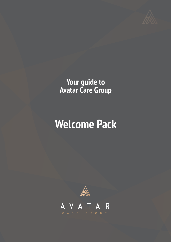

## **Your guide to Avatar Care Group**

# **Welcome Pack**

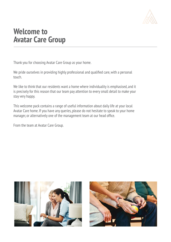

## **Welcome to Avatar Care Group**

Thank you for choosing Avatar Care Group as your home.

We pride ourselves in providing highly professional and qualified care, with a personal touch.

We like to think that our residents want a home where individuality is emphasised, and it is precisely for this reason that our team pay attention to every small detail to make your stay very happy.

This welcome pack contains a range of useful information about daily life at your local Avatar Care home. If you have any queries, please do not hesitate to speak to your home manager, or alternatively one of the management team at our head office.

From the team at Avatar Care Group.



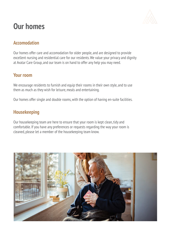

## **Our homes**

#### **Accomodation**

Our homes offer care and accomodation for older people, and are designed to provide excellent nursing and residential care for our residents. We value your privacy and dignity at Avatar Care Group, and our team is on hand to offer any help you may need.

#### **Your room**

We encourage residents to furnish and equip their rooms in their own style, and to use them as much as they wish for leisure, meals and entertaining.

Our homes offer single and double rooms, with the option of having en-suite facilities.

#### **Housekeeping**

Our housekeeping team are here to ensure that your room is kept clean, tidy and comfortable. If you have any preferences or requests regarding the way your room is cleaned, please let a member of the housekeeping team know.

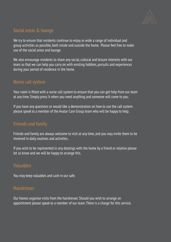

#### **Social areas & lounge**

We try to ensure that residents continue to enjoy as wide a range of individual and group activities as possible, both inside and outside the home. Please feel free to make use of the social areas and lounge.

We also encourage residents to share any social, cultural and leisure interests with our team so that we can help you carry on with existing hobbies, pursuits and experiences during your period of residence in the home.

#### **Nurse call system**

Your room is fitted with a nurse call system to ensure that you can get help from our team at any time. Simply press it when you need anything and someone will come to you.

If you have any questions or would like a demonstration on how to use the call system please speak to a member of the Avatar Care Group team who will be happy to help.

#### **Friends and family**

Friends and family are always welcome to visit at any time, and you may invite them to be involved in daily routines and activities.

If you wish to be represented in any dealings with the home by a friend or relative please let us know and we will be happy to arrange this.

#### **Valuables**

You may keep valuables and cash in our safe.

#### **Hairdresser**

Our homes organise visits from the hairdresser. Should you wish to arrange an appointment please speak to a member of our team. There is a charge for this service.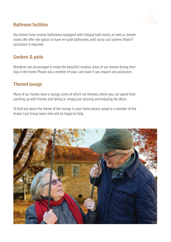

#### **Bathroom facilities**

Our homes have several bathrooms equipped with integral bath hoists, as well as shower rooms. We offer the option to have en-suite bathrooms, with nurse call systems fitted if assistance is required.

#### **Gardens & patio**

Residents are encouraged to enjoy the beautiful outdoor areas of our homes during their stay in the home. Please ask a member of your care team if you require any assistance.

#### **Themed lounge**

Many of our homes have a lounge, some of which are themed, where you can spend time catching up with friends and family, or simply just relaxing and enjoying the decor.

To find out about the theme of the lounge in your home please speak to a member of the Avatar Care Group team, who will be happy to help.

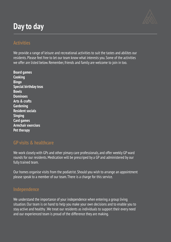## **Day to day**

#### **Activities**

We provide a range of leisure and recreational activities to suit the tastes and abilites our residents. Please feel free to let our team know what interests you. Some of the activities we offer are listed below. Remember, friends and family are welcome to join in too.

**Board games Cooking Bingo Special birthday teas Bowls Dominoes Arts & crafts Gardening Resident socials Singing Card games Armchair exercises Pet therapy**

#### **GP visits & healthcare**

We work closely with GPs and other pimary care professionals, and offer weekly GP ward rounds for our residents. Medication will be prescriped by a GP and administered by our fully trained team.

Our homes organise visits from the podiatrist. Should you wish to arrange an appointment please speak to a member of our team. There is a charge for this service.

#### **Independence**

We understand the importance of your independence when entering a group living situation. Our team is on hand to help you make your own decisions and to enable you to stay active and healthy . We treat our residents as individuals to support their every need and our experienced team is proud of the difference they are making.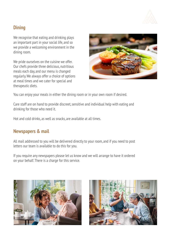

### **Dining**

We recognise that eating and drinking plays an important part in your social life, and so we provide a welcoming environment in the dining room.

We pride ourselves on the cuisine we offer. Our chefs provide three delicious, nutritious meals each day, and our menu is changed regularly. We always offer a choice of options at meal times and we cater for special and therapeutic diets.



You can enjoy your meals in either the dining room or in your own room if desired.

Care staff are on hand to provide discreet, sensitive and individual help with eating and drinking for those who need it.

Hot and cold drinks, as well as snacks, are available at all times.

#### **Newspapers & mail**

All mail addressed to you will be delivered directly to your room, and if you need to post letters our team is available to do this for you.

If you require any newspapers please let us know and we will arrange to have it ordered on your behalf. There is a charge for this service.



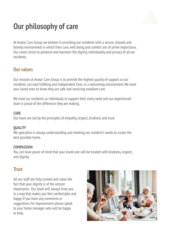

## **Our philosophy of care**

At Avatar Care Group, we believe in providing our residents with a secure, relaxed, and homely environment in which their care, well being and comfort are of prime importance. Our carers strive to preserve and maintain the dignity, individuality and privacy of all our residents.

#### **Our values**

Our mission at Avatar Care Group is to provide the highest quality of support so our residents can lead fulfilling and independent lives, in a welcoming environment. We want your loved ones to know they are safe and receiving excellent care.

We treat our residents as individuals to support their every need and our experienced team is proud of the difference they are making.

#### **CARE**

Our team are led by the principles of empathy, respect, kindness and trust.

#### **QUALITY**

We specialise in always understanding and meeting our resident's needs to create the best possible home.

#### **COMPASSION**

You can have peace of mind that your loved one will be treated with kindness, respect, and dignity.

#### **Trust**

All our staff are fully trained and value the fact that your dignity is of the utmost importance. Our team will always treat you in a way that makes you feel comfortable and happy. If you have any comments or suggestions for improvement please speak to your home manager who will be happy to help.

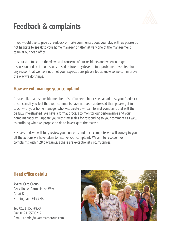

## **Feedback & complaints**

If you would like to give us feedback or make comments about your stay with us please do not hesitate to speak to your home manager, or alternatively one of the management team at our head office.

It is our aim to act on the views and concerns of our residents and we encourage discussion and action on issues raised before they develop into problems. If you feel for any reason that we have not met your expectations please let us know so we can improve the way we do things.

#### **How we will manage your complaint**

Please talk to a responsible member of staff to see if he or she can address your feedback or concern. If you feel that your comments have not been addressed then please get in touch with your home manager who will create a written formal complaint that will then be fully investigated. We have a formal process to monitor our performance and your home manager will update you with timescales for responding to your comments, as well as outlining what we propose to do to investigate the matter.

Rest assured, we will fully review your concerns and once complete, we will convey to you all the actions we have taken to resolve your complaint. We aim to resolve most complaints within 28 days, unless there are exceptional circumstances.

#### **Head office details**

Avatar Care Group Peak House, Farm House Way, Great Barr, Birmingham B43 7SE.

Tel: 0121 357 4830 Fax: 0121 357 0217 Email: admin@avatarcaregroup.com

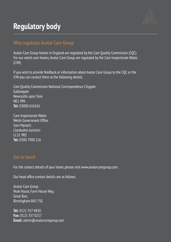

## **Regulatory body**

#### **Who regulates Avatar Care Group**

Avatar Care Group homes in England are regulated by the Care Quality Commission (CQC). For our welsh care homes, Avatar Care Group are regulated by the Care Inspectorate Wales (CIW).

If you wish to provide feedback or information about Avatar Care Group to the CQC or the CIW you can contact them at the following details.

Care Quality Commission National Correspondence Citygate **Gallowgate** Newcastle upon Tyne NE1 4PA **Tel:** 03000 616161

Care Inspectorate Wales Welsh Government Office Sarn Mynach Llandudno Junction LL31 9RZ **Tel:** 0300 7900 126

#### **Get in touch**

For the contact details of your home, please visit www.avatarcaregroup.com.

Our head office contact details are as follows.

Avatar Care Group Peak House, Farm House Way, Great Barr, Birmingham B43 7SE.

**Tel:** 0121 357 4830 **Fax:** 0121 357 0217 **Email:** admin@avatarcaregroup.com